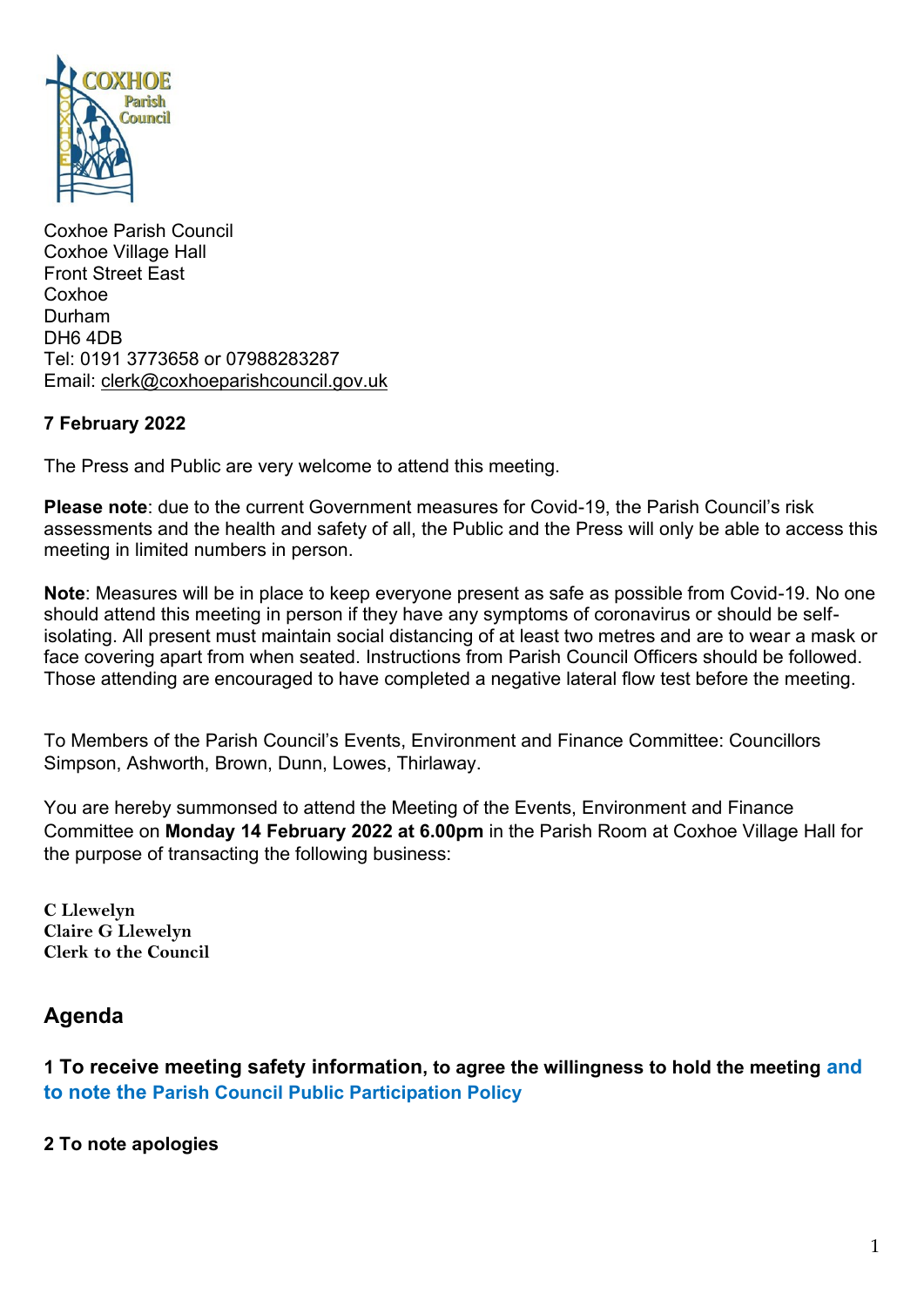

Coxhoe Parish Council Coxhoe Village Hall Front Street East Coxhoe Durham DH6 4DB Tel: 0191 3773658 or 07988283287 Email: [clerk@coxhoeparishcouncil.gov.uk](mailto:clerk@coxhoeparishcouncil.gov.uk)

### **7 February 2022**

The Press and Public are very welcome to attend this meeting.

**Please note**: due to the current Government measures for Covid-19, the Parish Council's risk assessments and the health and safety of all, the Public and the Press will only be able to access this meeting in limited numbers in person.

**Note**: Measures will be in place to keep everyone present as safe as possible from Covid-19. No one should attend this meeting in person if they have any symptoms of coronavirus or should be selfisolating. All present must maintain social distancing of at least two metres and are to wear a mask or face covering apart from when seated. Instructions from Parish Council Officers should be followed. Those attending are encouraged to have completed a negative lateral flow test before the meeting.

To Members of the Parish Council's Events, Environment and Finance Committee: Councillors Simpson, Ashworth, Brown, Dunn, Lowes, Thirlaway.

You are hereby summonsed to attend the Meeting of the Events, Environment and Finance Committee on **Monday 14 February 2022 at 6.00pm** in the Parish Room at Coxhoe Village Hall for the purpose of transacting the following business:

**C Llewelyn Claire G Llewelyn Clerk to the Council** 

# **Agenda**

**1 To receive meeting safety information, to agree the willingness to hold the meeting and to note the [Parish Council Public Participation Policy](http://coxhoeparishcouncil.gov.uk/important-documents-and-policies/public-participation-policy-fmarch-2020-review-date-march-2022/)**

**2 To note apologies**